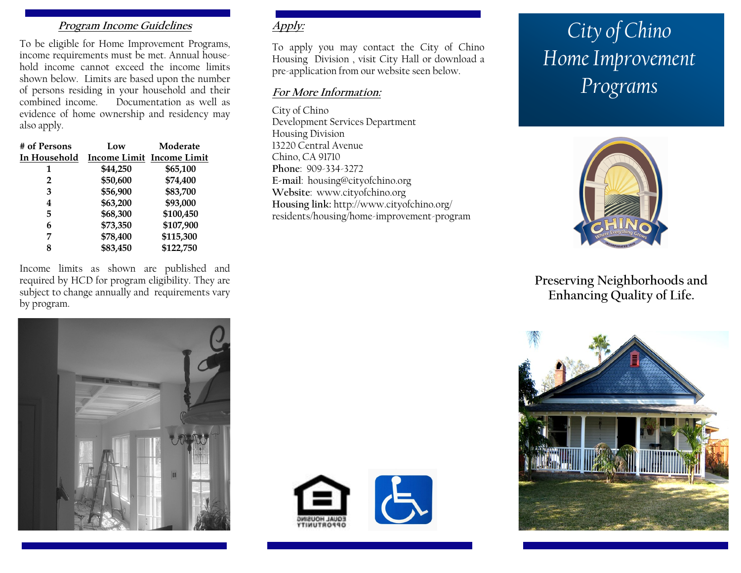# **Program Income Guidelines**

To be eligible for Home Improvement Programs, income requirements must be met. Annual household income cannot exceed the income limits shown below. Limits are based upon the number of persons residing in your household and their combined income. Documentation as well as evidence of home ownership and residency may also apply.

| # of Persons | Low      | Moderate                  |
|--------------|----------|---------------------------|
| In Household |          | Income Limit Income Limit |
| 1            | \$44,250 | \$65,100                  |
| 2            | \$50,600 | \$74,400                  |
| 3            | \$56,900 | \$83,700                  |
| 4            | \$63,200 | \$93,000                  |
| 5            | \$68,300 | \$100,450                 |
| 6            | \$73,350 | \$107,900                 |
| 7            | \$78,400 | \$115,300                 |
| 8            | \$83,450 | \$122,750                 |

Income limits as shown are published and required by HCD for program eligibility. They are subject to change annually and requirements vary by program.

**Apply:**

To apply you may contact the City of Chino Housing Division , visit City Hall or download a pre-application from our website seen below.

## **For More Information:**

City of Chino Development Services Department Housing Division 13220 Central Avenue Chino, CA 91710 **Phone**: 909-334-3272 **E-mail**: housing@cityofchino.org **Website**: www.cityofchino.org **Housing link:** http://www.cityofchino.org/ residents/housing/home-improvement-program





# *City of Chino Home Improvement Programs*



# **Preserving Neighborhoods and Enhancing Quality of Life.**